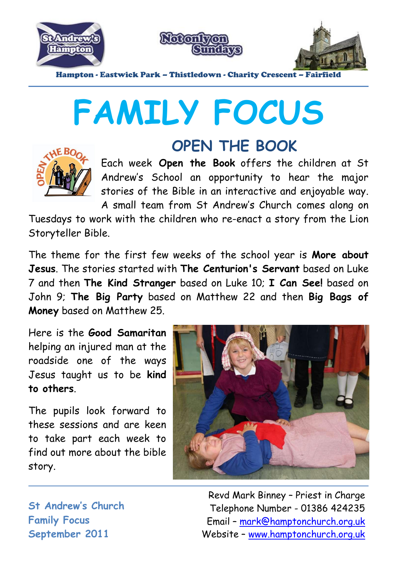





Hampton - Eastwick Park – Thistledown - Charity Crescent – Fai

# **FAMILY FOCUS**



## **OPEN THE BOOK**

Each week **Open the Book** offers the children at St Andrew's School an opportunity to hear the major stories of the Bible in an interactive and enjoyable way. A small team from St Andrew's Church comes along on

Tuesdays to work with the children who re-enact a story from the Lion Storyteller Bible.

The theme for the first few weeks of the school year is **More about Jesus**. The stories started with **The Centurion's Servant** based on Luke 7 and then **The Kind Stranger** based on Luke 10; **I Can See!** based on John 9; **The Big Party** based on Matthew 22 and then **Big Bags of Money** based on Matthew 25.

Here is the **Good Samaritan** helping an injured man at the roadside one of the ways Jesus taught us to be **kind to others**.

The pupils look forward to these sessions and are keen to take part each week to find out more about the bible story.



**St Andrew's Church Family Focus September 2011**

Revd Mark Binney – Priest in Charge Telephone Number - 01386 424235 Email – mark@hamptonchurch.org.uk Website – www.hamptonchurch.org.uk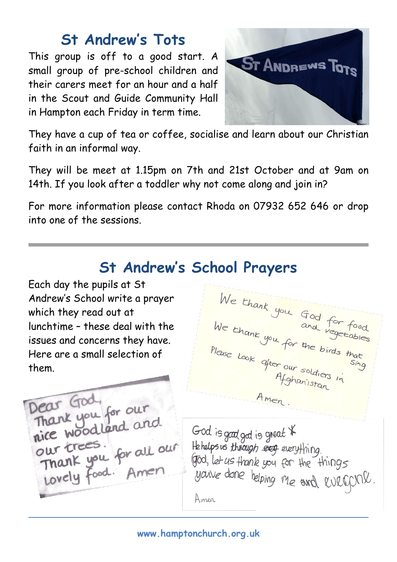#### **St Andrew's Tots**

This group is off to a good start. A small group of pre-school children and their carers meet for an hour and a half in the Scout and Guide Community Hall in Hampton each Friday in term time.



They have a cup of tea or coffee, socialise and learn about our Christian faith in an informal way.

They will be meet at 1.15pm on 7th and 21st October and at 9am on 14th. If you look after a toddler why not come along and join in?

For more information please contact Rhoda on 07932 652 646 or drop into one of the sessions.

## **St Andrew's School Prayers**

Each day the pupils at St Andrew's School write a prayer which they read out at lunchtime – these deal with the issues and concerns they have. Here are a small selection of them.

We thank you God for food<br>We thank you for the birds that<br>Please Look after our sing Please Look after our soldiers in Amen.

Dear God Dear God<br>Thank you for our<br>nice woodland and nice woodland are.<br>Our trees.<br>Thank you for all our<br>Lovely food. Amen

God is good god is great \* Hehelps us through every everything. god, let us thank you for the things you're done helping me and evergonl. Amer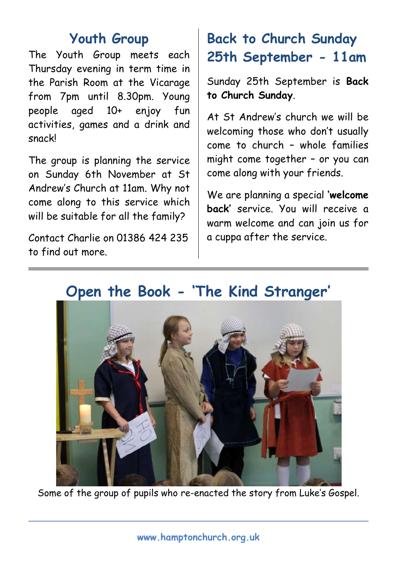#### **Youth Group**

The Youth Group meets each Thursday evening in term time in the Parish Room at the Vicarage from 7pm until 8.30pm. Young people aged 10+ enjoy fun activities, games and a drink and snack!

The group is planning the service on Sunday 6th November at St Andrew's Church at 11am. Why not come along to this service which will be suitable for all the family?

Contact Charlie on 01386 424 235 to find out more.

## **Back to Church Sunday 25th September - 11am**

Sunday 25th September is **Back to Church Sunday**.

At St Andrew's church we will be welcoming those who don't usually come to church – whole families might come together – or you can come along with your friends.

We are planning a special **'welcome back'** service. You will receive a warm welcome and can join us for a cuppa after the service.



## **Open the Book - 'The Kind Stranger'**

Some of the group of pupils who re-enacted the story from Luke's Gospel.